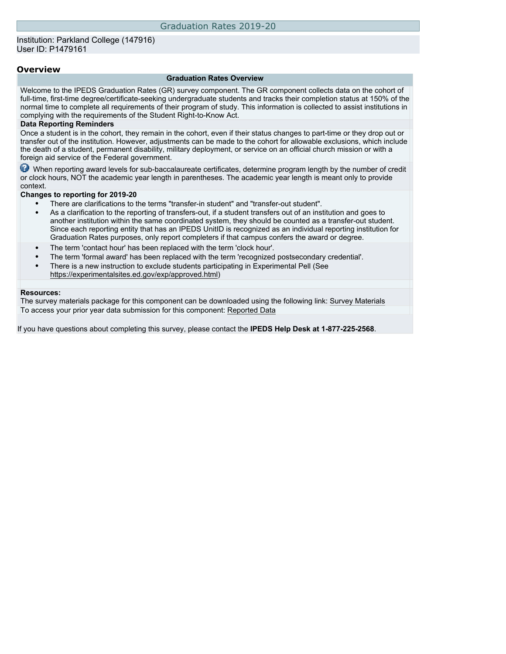### **Overview**

#### **Graduation Rates Overview**

Welcome to the IPEDS Graduation Rates (GR) survey component. The GR component collects data on the cohort of full-time, first-time degree/certificate-seeking undergraduate students and tracks their completion status at 150% of the normal time to complete all requirements of their program of study. This information is collected to assist institutions in complying with the requirements of the Student Right-to-Know Act.

#### **Data Reporting Reminders**

Once a student is in the cohort, they remain in the cohort, even if their status changes to part-time or they drop out or transfer out of the institution. However, adjustments can be made to the cohort for allowable exclusions, which include the death of a student, permanent disability, military deployment, or service on an official church mission or with a foreign aid service of the Federal government.

When reporting award levels for sub-baccalaureate certificates, determine program length by the number of credit or clock hours, NOT the academic year length in parentheses. The academic year length is meant only to provide context.

#### **Changes to reporting for 2019-20**

- There are clarifications to the terms "transfer-in student" and "transfer-out student".
- As a clarification to the reporting of transfers-out, if a student transfers out of an institution and goes to another institution within the same coordinated system, they should be counted as a transfer-out student. Since each reporting entity that has an IPEDS UnitID is recognized as an individual reporting institution for Graduation Rates purposes, only report completers if that campus confers the award or degree.
- The term 'contact hour' has been replaced with the term 'clock hour'.
- The term 'formal award' has been replaced with the term 'recognized postsecondary credential'.
- There is a new instruction to exclude students participating in Experimental Pell (See [https://experimentalsites.ed.gov/exp/approved.html\)](https://experimentalsites.ed.gov/exp/approved.html)

#### **Resources:**

The survey materials package for this component can be downloaded using the following link: [Survey Materials](https://surveys.nces.ed.gov/ipeds/VisIndex.aspx) To access your prior year data submission for this component: [Reported Data](http://192.168.102.89/ipeds/PriorYearDataRedirect.aspx?survey_id=4)

If you have questions about completing this survey, please contact the **IPEDS Help Desk at 1-877-225-2568**.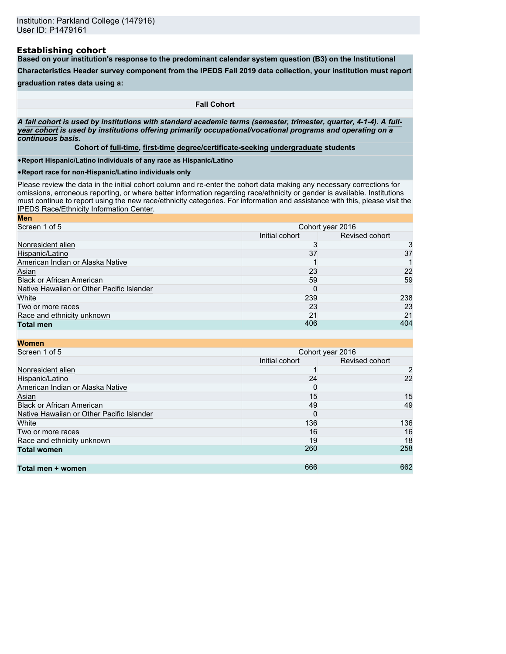#### **Establishing cohort**

**Based on your institution's response to the predominant calendar system question (B3) on the Institutional**

**Characteristics Header survey component from the IPEDS Fall 2019 data collection, your institution must report**

### **graduation rates data using a:**

**Fall Cohort**

*A* **fall cohort** *is used by institutions with standard academic terms (semester, trimester, quarter, 4-1-4). A* **fullyear cohort** *is used by institutions offering primarily occupational/vocational programs and operating on a continuous basis.*

**Cohort of full-time, first-time degree/certificate-seeking undergraduate students**

•**Report Hispanic/Latino individuals of any race as Hispanic/Latino**

•**Report race for non-Hispanic/Latino individuals only**

Please review the data in the initial cohort column and re-enter the cohort data making any necessary corrections for omissions, erroneous reporting, or where better information regarding race/ethnicity or gender is available. Institutions must continue to report using the new race/ethnicity categories. For information and assistance with this, please visit the [IPEDS Race/Ethnicity Information Center.](https://nces.ed.gov/ipeds/report-your-data/resource-center-race-ethnicity) **Men**

| <b>MEIL</b>                               |                  |                |  |
|-------------------------------------------|------------------|----------------|--|
| Screen 1 of 5                             | Cohort year 2016 |                |  |
|                                           | Initial cohort   | Revised cohort |  |
| Nonresident alien                         |                  | 3              |  |
| Hispanic/Latino                           | 37               | 37             |  |
| American Indian or Alaska Native          |                  |                |  |
| Asian                                     | 23               | 22             |  |
| <b>Black or African American</b>          | 59               | 59             |  |
| Native Hawaiian or Other Pacific Islander |                  |                |  |
| White                                     | 239              | 238            |  |
| Two or more races                         | 23               | 23             |  |
| Race and ethnicity unknown                | 21               | 21             |  |
| <b>Total men</b>                          | 406              | 404            |  |
|                                           |                  |                |  |

| <b>Women</b>                              |                |                  |
|-------------------------------------------|----------------|------------------|
| Screen 1 of 5                             |                | Cohort year 2016 |
|                                           | Initial cohort | Revised cohort   |
| Nonresident alien                         |                | $\overline{2}$   |
| Hispanic/Latino                           | 24             | 22               |
| American Indian or Alaska Native          | 0              |                  |
| Asian                                     | 15             | 15               |
| <b>Black or African American</b>          | 49             | 49               |
| Native Hawaiian or Other Pacific Islander | 0              |                  |
| White                                     | 136            | 136              |
| Two or more races                         | 16             | 16               |
| Race and ethnicity unknown                | 19             | 18               |
| <b>Total women</b>                        | 260            | 258              |
|                                           |                |                  |
| Total men + women                         | 666            | 662              |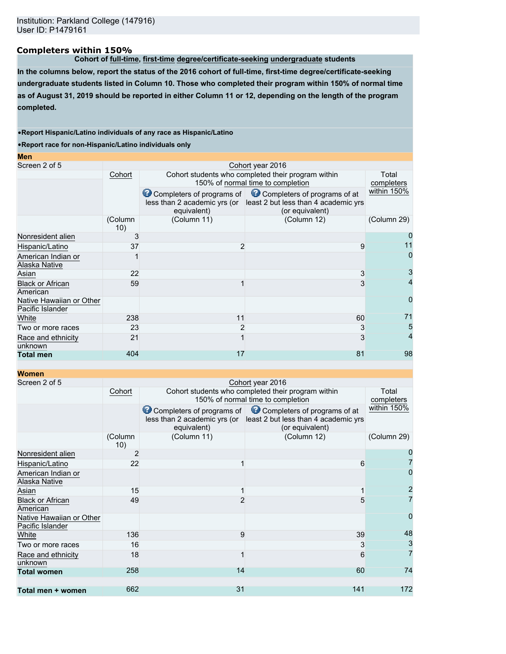## **Completers within 150%**

**Cohort of full-time, first-time degree/certificate-seeking undergraduate students**

**In the columns below, report the status of the 2016 cohort of full-time, first-time degree/certificate-seeking undergraduate students listed in Column 10. Those who completed their program within 150% of normal time as of August 31, 2019 should be reported in either Column 11 or 12, depending on the length of the program completed.**

#### •**Report Hispanic/Latino individuals of any race as Hispanic/Latino**

•**Report race for non-Hispanic/Latino individuals only**

| Screen 2 of 5<br>Cohort year 2016<br>Cohort students who completed their program within<br>Cohort<br>Total<br>150% of normal time to completion<br>completers<br>within 150%<br>Completers of programs of Completers of programs of at<br>less than 2 academic yrs (or least 2 but less than 4 academic yrs<br>equivalent)<br>(or equivalent)<br>(Column 12)<br>(Column 11)<br>(Column 29)<br>(Column<br>10)<br>Nonresident alien<br>3<br>$\overline{2}$<br>Hispanic/Latino<br>37<br>9<br>0<br>American Indian or<br>Alaska Native<br>Asian<br>22<br>3<br><b>Black or African</b><br>3<br>59<br>American<br>$\mathbf{O}$<br>Native Hawaiian or Other<br>Pacific Islander<br>71<br>White<br>238<br>11<br>60<br>$\overline{2}$<br>23<br>3<br>Two or more races<br>4<br>21<br>3<br>Race and ethnicity<br>unknown<br>404<br>17<br>81<br><b>Total men</b> | <b>Men</b> |  |    |
|------------------------------------------------------------------------------------------------------------------------------------------------------------------------------------------------------------------------------------------------------------------------------------------------------------------------------------------------------------------------------------------------------------------------------------------------------------------------------------------------------------------------------------------------------------------------------------------------------------------------------------------------------------------------------------------------------------------------------------------------------------------------------------------------------------------------------------------------------|------------|--|----|
|                                                                                                                                                                                                                                                                                                                                                                                                                                                                                                                                                                                                                                                                                                                                                                                                                                                      |            |  |    |
|                                                                                                                                                                                                                                                                                                                                                                                                                                                                                                                                                                                                                                                                                                                                                                                                                                                      |            |  |    |
|                                                                                                                                                                                                                                                                                                                                                                                                                                                                                                                                                                                                                                                                                                                                                                                                                                                      |            |  |    |
|                                                                                                                                                                                                                                                                                                                                                                                                                                                                                                                                                                                                                                                                                                                                                                                                                                                      |            |  |    |
|                                                                                                                                                                                                                                                                                                                                                                                                                                                                                                                                                                                                                                                                                                                                                                                                                                                      |            |  |    |
|                                                                                                                                                                                                                                                                                                                                                                                                                                                                                                                                                                                                                                                                                                                                                                                                                                                      |            |  |    |
|                                                                                                                                                                                                                                                                                                                                                                                                                                                                                                                                                                                                                                                                                                                                                                                                                                                      |            |  |    |
|                                                                                                                                                                                                                                                                                                                                                                                                                                                                                                                                                                                                                                                                                                                                                                                                                                                      |            |  |    |
|                                                                                                                                                                                                                                                                                                                                                                                                                                                                                                                                                                                                                                                                                                                                                                                                                                                      |            |  |    |
|                                                                                                                                                                                                                                                                                                                                                                                                                                                                                                                                                                                                                                                                                                                                                                                                                                                      |            |  |    |
|                                                                                                                                                                                                                                                                                                                                                                                                                                                                                                                                                                                                                                                                                                                                                                                                                                                      |            |  |    |
|                                                                                                                                                                                                                                                                                                                                                                                                                                                                                                                                                                                                                                                                                                                                                                                                                                                      |            |  | 5  |
|                                                                                                                                                                                                                                                                                                                                                                                                                                                                                                                                                                                                                                                                                                                                                                                                                                                      |            |  |    |
|                                                                                                                                                                                                                                                                                                                                                                                                                                                                                                                                                                                                                                                                                                                                                                                                                                                      |            |  | 98 |

### **Women**

| Screen 2 of 5                                |                |                                                           | Cohort year 2016                                                     |                |  |  |
|----------------------------------------------|----------------|-----------------------------------------------------------|----------------------------------------------------------------------|----------------|--|--|
|                                              | Cohort         |                                                           | Cohort students who completed their program within                   |                |  |  |
|                                              |                |                                                           | 150% of normal time to completion                                    | completers     |  |  |
|                                              |                | Completers of programs of<br>less than 2 academic yrs (or | Completers of programs of at<br>least 2 but less than 4 academic yrs | within 150%    |  |  |
|                                              |                | equivalent)                                               | (or equivalent)                                                      |                |  |  |
|                                              | (Column<br>10) | (Column 11)                                               | (Column 12)                                                          | (Column 29)    |  |  |
| Nonresident alien                            | 2              |                                                           |                                                                      |                |  |  |
| Hispanic/Latino                              | 22             |                                                           | 6                                                                    |                |  |  |
| American Indian or<br>Alaska Native          |                |                                                           |                                                                      |                |  |  |
| Asian                                        | 15             |                                                           |                                                                      | $\overline{2}$ |  |  |
| <b>Black or African</b><br>American          | 49             |                                                           | 5                                                                    | $\overline{7}$ |  |  |
| Native Hawaiian or Other<br>Pacific Islander |                |                                                           |                                                                      | 0              |  |  |
| White                                        | 136            | 9                                                         | 39                                                                   | 48             |  |  |
| Two or more races                            | 16             |                                                           | 3                                                                    | 3              |  |  |
| Race and ethnicity<br>unknown                | 18             |                                                           | 6                                                                    | $\overline{7}$ |  |  |
| <b>Total women</b>                           | 258            | 14                                                        | 60                                                                   | 74             |  |  |
|                                              | 662            | 31                                                        |                                                                      |                |  |  |
| Total men + women                            |                |                                                           | 141                                                                  | 172            |  |  |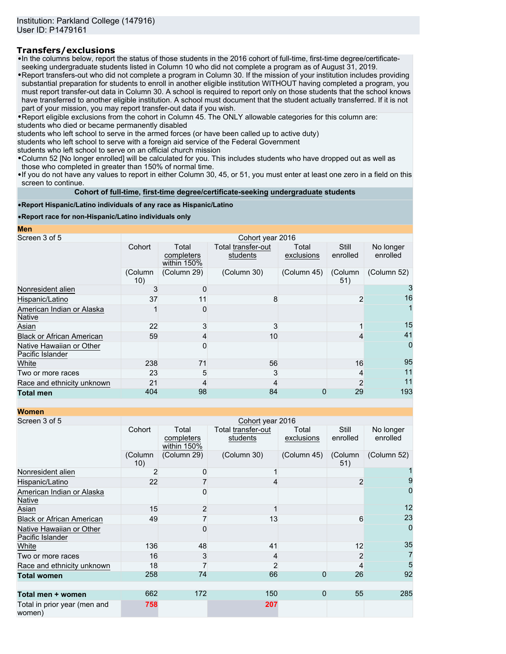## **Transfers/exclusions**

•In the columns below, report the status of those students in the 2016 cohort of full-time, first-time degree/certificateseeking undergraduate students listed in Column 10 who did not complete a program as of August 31, 2019.

•Report transfers-out who did not complete a program in Column 30. If the mission of your institution includes providing substantial preparation for students to enroll in another eligible institution WITHOUT having completed a program, you must report transfer-out data in Column 30. A school is required to report only on those students that the school knows have transferred to another eligible institution. A school must document that the student actually transferred. If it is not part of your mission, you may report transfer-out data if you wish.

•Report eligible exclusions from the cohort in Column 45. The ONLY allowable categories for this column are: students who died or became permanently disabled

students who left school to serve in the armed forces (or have been called up to active duty)

students who left school to serve with a foreign aid service of the Federal Government

students who left school to serve on an official church mission

•Column 52 [No longer enrolled] will be calculated for you. This includes students who have dropped out as well as those who completed in greater than 150% of normal time.

•If you do not have any values to report in either Column 30, 45, or 51, you must enter at least one zero in a field on this screen to continue.

**Cohort of full-time, first-time degree/certificate-seeking undergraduate students**

#### •**Report Hispanic/Latino individuals of any race as Hispanic/Latino**

•**Report race for non-Hispanic/Latino individuals only**

**Men**

| Screen 3 of 5                                |                |                                    | Cohort year 2016               |                     |                   |                       |
|----------------------------------------------|----------------|------------------------------------|--------------------------------|---------------------|-------------------|-----------------------|
|                                              | Cohort         | Total<br>completers<br>within 150% | Total transfer-out<br>students | Total<br>exclusions | Still<br>enrolled | No longer<br>enrolled |
|                                              | (Column<br>10) | (Column 29)                        | (Column 30)                    | (Column 45)         | (Column<br>51)    | (Column 52)           |
| Nonresident alien                            | 3              |                                    |                                |                     |                   |                       |
| Hispanic/Latino                              | 37             | 11                                 | 8                              |                     | 2                 | 16                    |
| American Indian or Alaska<br><b>Native</b>   |                |                                    |                                |                     |                   |                       |
| Asian                                        | 22             |                                    | 3                              |                     |                   | 15                    |
| <b>Black or African American</b>             | 59             |                                    | 10                             |                     |                   | 41                    |
| Native Hawaiian or Other<br>Pacific Islander |                |                                    |                                |                     |                   | 0                     |
| White                                        | 238            | 71                                 | 56                             |                     | 16                | 95                    |
| Two or more races                            | 23             | 5                                  | 3                              |                     |                   | 11                    |
| Race and ethnicity unknown                   | 21             |                                    |                                |                     | 2                 | 11                    |
| <b>Total men</b>                             | 404            | 98                                 | 84                             | $\Omega$            | 29                | 193                   |

**Women**

| WUIHEH                                       |                  |                                    |                                |                     |                   |                       |
|----------------------------------------------|------------------|------------------------------------|--------------------------------|---------------------|-------------------|-----------------------|
| Screen 3 of 5                                | Cohort year 2016 |                                    |                                |                     |                   |                       |
|                                              | Cohort           | Total<br>completers<br>within 150% | Total transfer-out<br>students | Total<br>exclusions | Still<br>enrolled | No longer<br>enrolled |
|                                              | (Column<br>10)   | (Column 29)                        | (Column 30)                    | (Column 45)         | (Column<br>51)    | (Column 52)           |
| Nonresident alien                            | 2                |                                    |                                |                     |                   |                       |
| Hispanic/Latino                              | 22               |                                    |                                |                     | 2                 | 9                     |
| American Indian or Alaska<br><b>Native</b>   |                  |                                    |                                |                     |                   | 0                     |
| Asian                                        | 15               | 2                                  |                                |                     |                   | 12                    |
| <b>Black or African American</b>             | 49               |                                    | 13                             |                     | 6                 | 23                    |
| Native Hawaiian or Other<br>Pacific Islander |                  |                                    |                                |                     |                   | $\Omega$              |
| White                                        | 136              | 48                                 | 41                             |                     | 12                | 35                    |
| Two or more races                            | 16               | 3                                  | 4                              |                     | 2                 | 7                     |
| Race and ethnicity unknown                   | 18               |                                    | $\overline{2}$                 |                     |                   | 5                     |
| <b>Total women</b>                           | 258              | 74                                 | 66                             | $\mathbf 0$         | 26                | 92                    |
| Total men + women                            | 662              | 172                                | 150                            | $\Omega$            | 55                | 285                   |
| Total in prior year (men and<br>women)       | 758              |                                    | 207                            |                     |                   |                       |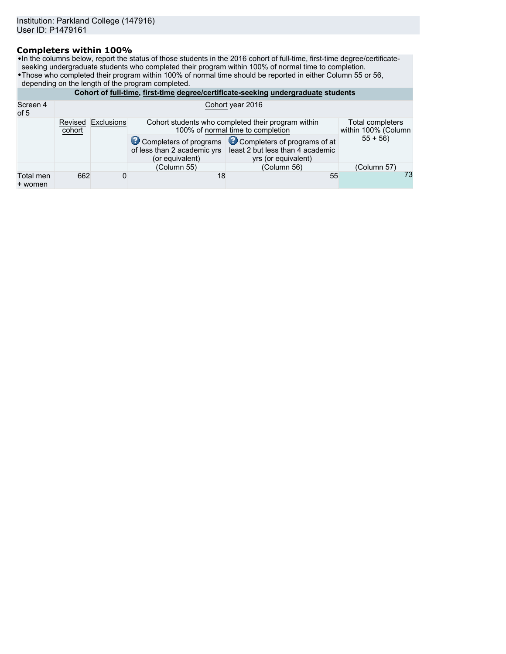## **Completers within 100%**

•In the columns below, report the status of those students in the 2016 cohort of full-time, first-time degree/certificateseeking undergraduate students who completed their program within 100% of normal time to completion.

•Those who completed their program within 100% of normal time should be reported in either Column 55 or 56,

depending on the length of the program completed.

|                      | Cohort of full-time, first-time degree/certificate-seeking undergraduate students |            |                                                                                                                                    |                                                                                                                |             |  |  |
|----------------------|-----------------------------------------------------------------------------------|------------|------------------------------------------------------------------------------------------------------------------------------------|----------------------------------------------------------------------------------------------------------------|-------------|--|--|
| Screen 4<br>of 5     | Cohort year 2016                                                                  |            |                                                                                                                                    |                                                                                                                |             |  |  |
|                      | Revised<br>cohort                                                                 | Exclusions | Total completers<br>Cohort students who completed their program within<br>100% of normal time to completion<br>within 100% (Column |                                                                                                                |             |  |  |
|                      |                                                                                   |            | of less than 2 academic yrs<br>(or equivalent)                                                                                     | Completers of programs Completers of programs of at<br>least 2 but less than 4 academic<br>yrs (or equivalent) | $55 + 56$   |  |  |
|                      |                                                                                   |            | (Column 55)                                                                                                                        | (Column 56)                                                                                                    | (Column 57) |  |  |
| Total men<br>+ women | 662                                                                               | 0          | 18                                                                                                                                 | 55                                                                                                             | 73          |  |  |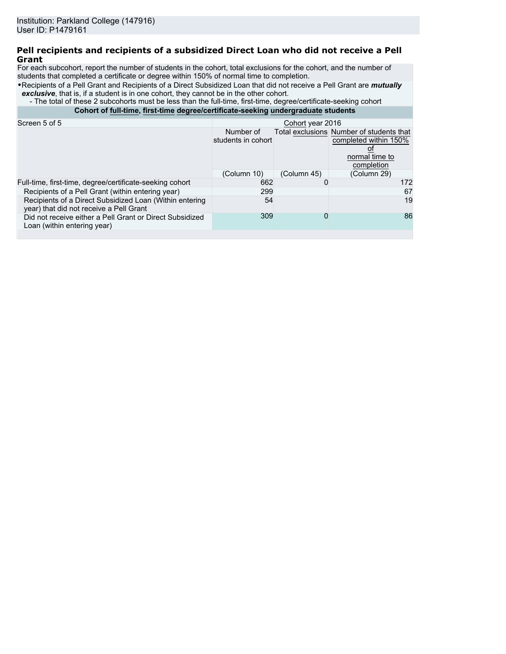### **Pell recipients and recipients of a subsidized Direct Loan who did not receive a Pell Grant**

For each subcohort, report the number of students in the cohort, total exclusions for the cohort, and the number of students that completed a certificate or degree within 150% of normal time to completion.

•Recipients of a Pell Grant and Recipients of a Direct Subsidized Loan that did not receive a Pell Grant are *mutually* **exclusive**, that is, if a student is in one cohort, they cannot be in the other cohort.

- The total of these 2 subcohorts must be less than the full-time, first-time, degree/certificate-seeking cohort

**Cohort of full-time, first-time degree/certificate-seeking undergraduate students**

| Screen 5 of 5                                                                                      | Cohort year 2016                |             |                                                                                                   |  |  |
|----------------------------------------------------------------------------------------------------|---------------------------------|-------------|---------------------------------------------------------------------------------------------------|--|--|
|                                                                                                    | Number of<br>students in cohort |             | Total exclusions Number of students that<br>completed within 150%<br>normal time to<br>completion |  |  |
|                                                                                                    | (Column 10)                     | (Column 45) | (Column 29)                                                                                       |  |  |
| Full-time, first-time, degree/certificate-seeking cohort                                           | 662                             |             | 172                                                                                               |  |  |
| Recipients of a Pell Grant (within entering year)                                                  | 299                             |             | 67                                                                                                |  |  |
| Recipients of a Direct Subsidized Loan (Within entering<br>year) that did not receive a Pell Grant | 54                              |             | 19                                                                                                |  |  |
| Did not receive either a Pell Grant or Direct Subsidized<br>Loan (within entering year)            | 309                             | 0           | 86                                                                                                |  |  |
|                                                                                                    |                                 |             |                                                                                                   |  |  |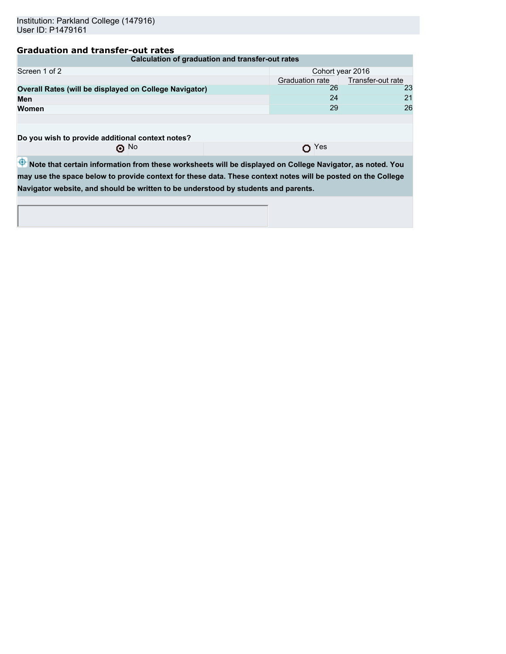# **Graduation and transfer-out rates**

| Calculation of graduation and transfer-out rates       |                                      |    |  |  |  |
|--------------------------------------------------------|--------------------------------------|----|--|--|--|
| Screen 1 of 2                                          | Cohort year 2016                     |    |  |  |  |
|                                                        | Transfer-out rate<br>Graduation rate |    |  |  |  |
| Overall Rates (will be displayed on College Navigator) | 26                                   | 23 |  |  |  |
| Men                                                    | 24                                   | 21 |  |  |  |
| Women                                                  | 29                                   | 26 |  |  |  |
|                                                        |                                      |    |  |  |  |
| Do you wish to provide additional context notes?       |                                      |    |  |  |  |
| $\odot$ No<br>Yes                                      |                                      |    |  |  |  |

 $\overline{\Phi}$  Note that certain information from these worksheets will be displayed on College Navigator, as noted. You **may use the space below to provide context for these data. These context notes will be posted on the College Navigator website, and should be written to be understood by students and parents.**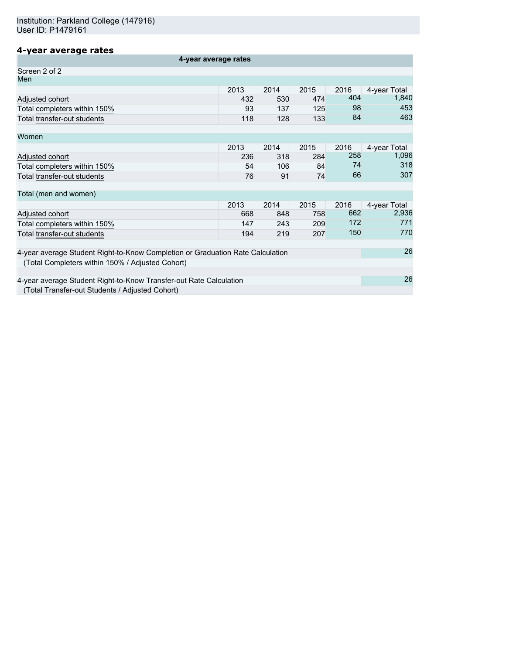# **4-year average rates**

| 4-year average rates                                                           |      |      |      |      |              |
|--------------------------------------------------------------------------------|------|------|------|------|--------------|
| Screen 2 of 2                                                                  |      |      |      |      |              |
| Men                                                                            |      |      |      |      |              |
|                                                                                | 2013 | 2014 | 2015 | 2016 | 4-year Total |
| Adjusted cohort                                                                | 432  | 530  | 474  | 404  | 1,840        |
| Total completers within 150%                                                   | 93   | 137  | 125  | 98   | 453          |
| Total transfer-out students                                                    | 118  | 128  | 133  | 84   | 463          |
| Women                                                                          |      |      |      |      |              |
|                                                                                | 2013 | 2014 | 2015 | 2016 | 4-year Total |
| Adjusted cohort                                                                | 236  | 318  | 284  | 258  | 1,096        |
| Total completers within 150%                                                   | 54   | 106  | 84   | 74   | 318          |
| Total transfer-out students                                                    | 76   | 91   | 74   | 66   | 307          |
| Total (men and women)                                                          |      |      |      |      |              |
|                                                                                | 2013 | 2014 | 2015 | 2016 | 4-year Total |
| Adjusted cohort                                                                | 668  | 848  | 758  | 662  | 2,936        |
| Total completers within 150%                                                   | 147  | 243  | 209  | 172  | 771          |
| Total transfer-out students                                                    | 194  | 219  | 207  | 150  | 770          |
| 4-year average Student Right-to-Know Completion or Graduation Rate Calculation |      |      |      |      |              |
| (Total Completers within 150% / Adjusted Cohort)                               |      |      |      |      |              |
|                                                                                |      |      |      |      |              |
| 4-year average Student Right-to-Know Transfer-out Rate Calculation             |      |      |      |      | 26           |
| (Total Transfer-out Students / Adjusted Cohort)                                |      |      |      |      |              |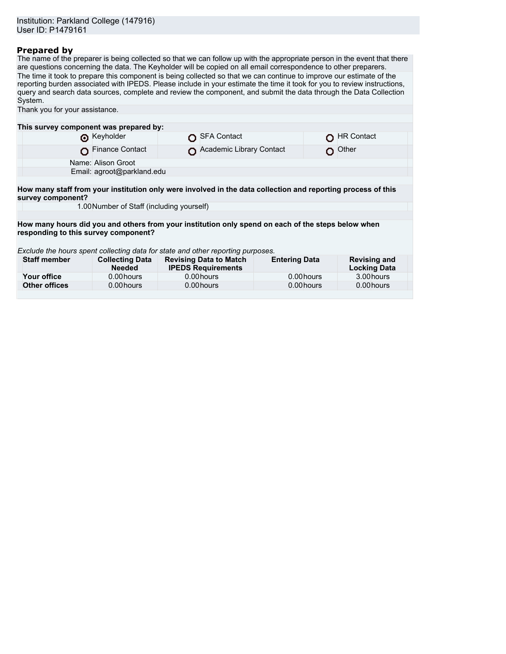## **Prepared by**

The name of the preparer is being collected so that we can follow up with the appropriate person in the event that there are questions concerning the data. The Keyholder will be copied on all email correspondence to other preparers. The time it took to prepare this component is being collected so that we can continue to improve our estimate of the reporting burden associated with IPEDS. Please include in your estimate the time it took for you to review instructions, query and search data sources, complete and review the component, and submit the data through the Data Collection System.

| Thank you for your assistance.                                                                                                    |                                                                                 |  |                                                            |                      |  |                                            |
|-----------------------------------------------------------------------------------------------------------------------------------|---------------------------------------------------------------------------------|--|------------------------------------------------------------|----------------------|--|--------------------------------------------|
|                                                                                                                                   |                                                                                 |  |                                                            |                      |  |                                            |
| This survey component was prepared by:                                                                                            |                                                                                 |  |                                                            |                      |  |                                            |
|                                                                                                                                   | Reyholder                                                                       |  | <b>SFA Contact</b>                                         |                      |  | <b>HR Contact</b>                          |
|                                                                                                                                   | Finance Contact                                                                 |  | Academic Library Contact                                   |                      |  | $\Omega$ Other                             |
|                                                                                                                                   | Name: Alison Groot                                                              |  |                                                            |                      |  |                                            |
|                                                                                                                                   | Email: agroot@parkland.edu                                                      |  |                                                            |                      |  |                                            |
|                                                                                                                                   |                                                                                 |  |                                                            |                      |  |                                            |
| How many staff from your institution only were involved in the data collection and reporting process of this<br>survey component? |                                                                                 |  |                                                            |                      |  |                                            |
|                                                                                                                                   | 1.00 Number of Staff (including yourself)                                       |  |                                                            |                      |  |                                            |
|                                                                                                                                   |                                                                                 |  |                                                            |                      |  |                                            |
| How many hours did you and others from your institution only spend on each of the steps below when                                |                                                                                 |  |                                                            |                      |  |                                            |
|                                                                                                                                   | responding to this survey component?                                            |  |                                                            |                      |  |                                            |
|                                                                                                                                   |                                                                                 |  |                                                            |                      |  |                                            |
|                                                                                                                                   | Exclude the hours spent collecting data for state and other reporting purposes. |  |                                                            |                      |  |                                            |
| <b>Staff member</b>                                                                                                               | <b>Collecting Data</b><br><b>Needed</b>                                         |  | <b>Revising Data to Match</b><br><b>IPEDS Requirements</b> | <b>Entering Data</b> |  | <b>Revising and</b><br><b>Locking Data</b> |
| Your office                                                                                                                       | 0.00 hours                                                                      |  | 0.00 hours                                                 | 0.00 hours           |  | 3.00 hours                                 |
| <b>Other offices</b>                                                                                                              | 0.00 hours                                                                      |  | 0.00 hours                                                 | 0.00 hours           |  | 0.00 hours                                 |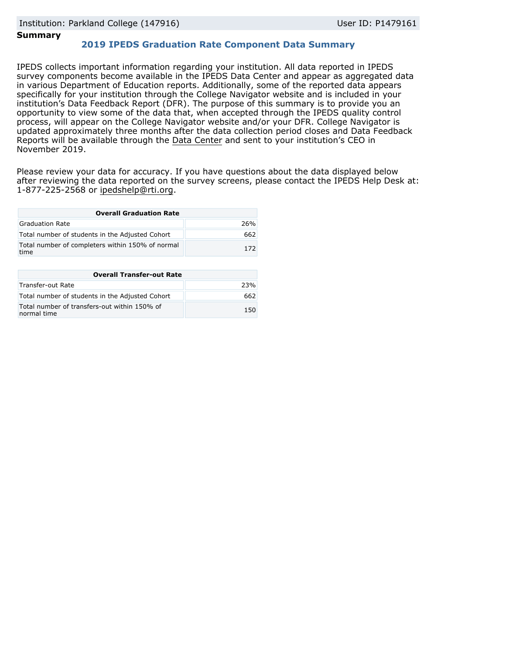### **Summary**

## **2019 IPEDS Graduation Rate Component Data Summary**

IPEDS collects important information regarding your institution. All data reported in IPEDS survey components become available in the IPEDS Data Center and appear as aggregated data in various Department of Education reports. Additionally, some of the reported data appears specifically for your institution through the College Navigator website and is included in your institution's Data Feedback Report (DFR). The purpose of this summary is to provide you an opportunity to view some of the data that, when accepted through the IPEDS quality control process, will appear on the College Navigator website and/or your DFR. College Navigator is updated approximately three months after the data collection period closes and Data Feedback Reports will be available through the [Data Center](https://nces.ed.gov/ipeds/use-the-data) and sent to your institution's CEO in November 2019.

Please review your data for accuracy. If you have questions about the data displayed below after reviewing the data reported on the survey screens, please contact the IPEDS Help Desk at: 1-877-225-2568 or ipedshelp@rti.org.

| <b>Overall Graduation Rate</b>                           |     |
|----------------------------------------------------------|-----|
| Graduation Rate                                          | 26% |
| Total number of students in the Adjusted Cohort          | 662 |
| Total number of completers within 150% of normal<br>time | 172 |

| <b>Overall Transfer-out Rate</b>                            |     |
|-------------------------------------------------------------|-----|
| Transfer-out Rate                                           | 23% |
| Total number of students in the Adjusted Cohort             | 662 |
| Total number of transfers-out within 150% of<br>normal time | 150 |